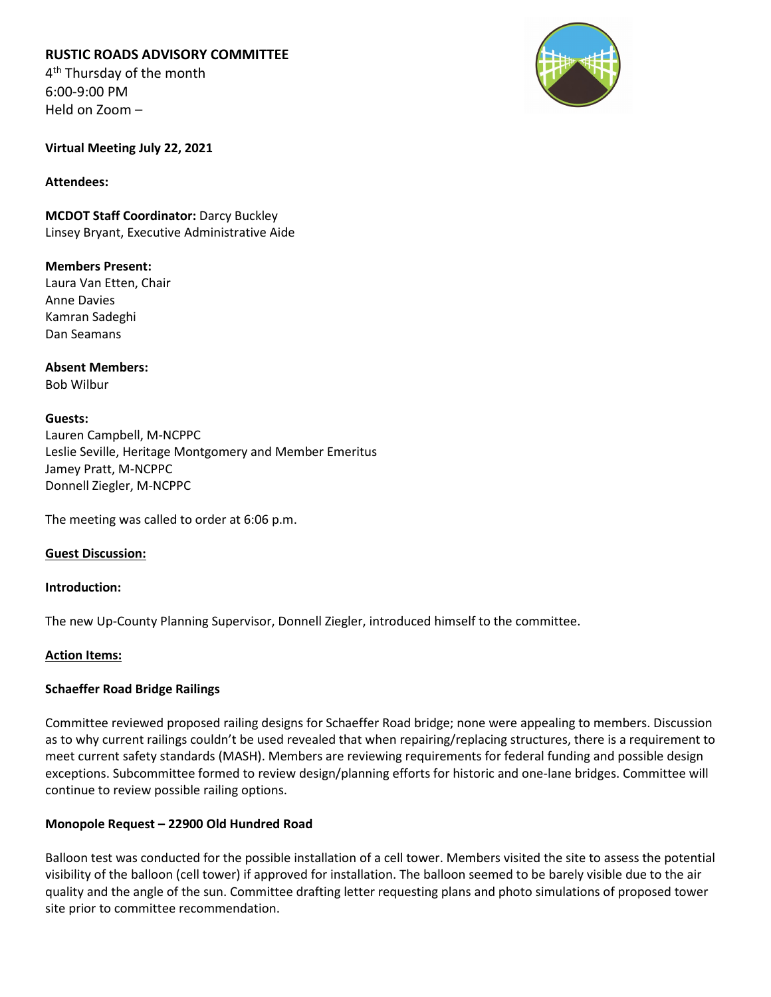**RUSTIC ROADS ADVISORY COMMITTEE**

4<sup>th</sup> Thursday of the month 6:00-9:00 PM Held on Zoom –



**Virtual Meeting July 22, 2021**

**Attendees:**

**MCDOT Staff Coordinator:** Darcy Buckley Linsey Bryant, Executive Administrative Aide

**Members Present:** Laura Van Etten, Chair Anne Davies Kamran Sadeghi Dan Seamans

**Absent Members:** Bob Wilbur

# **Guests:**

Lauren Campbell, M-NCPPC Leslie Seville, Heritage Montgomery and Member Emeritus Jamey Pratt, M-NCPPC Donnell Ziegler, M-NCPPC

The meeting was called to order at 6:06 p.m.

# **Guest Discussion:**

# **Introduction:**

The new Up-County Planning Supervisor, Donnell Ziegler, introduced himself to the committee.

# **Action Items:**

# **Schaeffer Road Bridge Railings**

Committee reviewed proposed railing designs for Schaeffer Road bridge; none were appealing to members. Discussion as to why current railings couldn't be used revealed that when repairing/replacing structures, there is a requirement to meet current safety standards (MASH). Members are reviewing requirements for federal funding and possible design exceptions. Subcommittee formed to review design/planning efforts for historic and one-lane bridges. Committee will continue to review possible railing options.

# **Monopole Request – 22900 Old Hundred Road**

Balloon test was conducted for the possible installation of a cell tower. Members visited the site to assess the potential visibility of the balloon (cell tower) if approved for installation. The balloon seemed to be barely visible due to the air quality and the angle of the sun. Committee drafting letter requesting plans and photo simulations of proposed tower site prior to committee recommendation.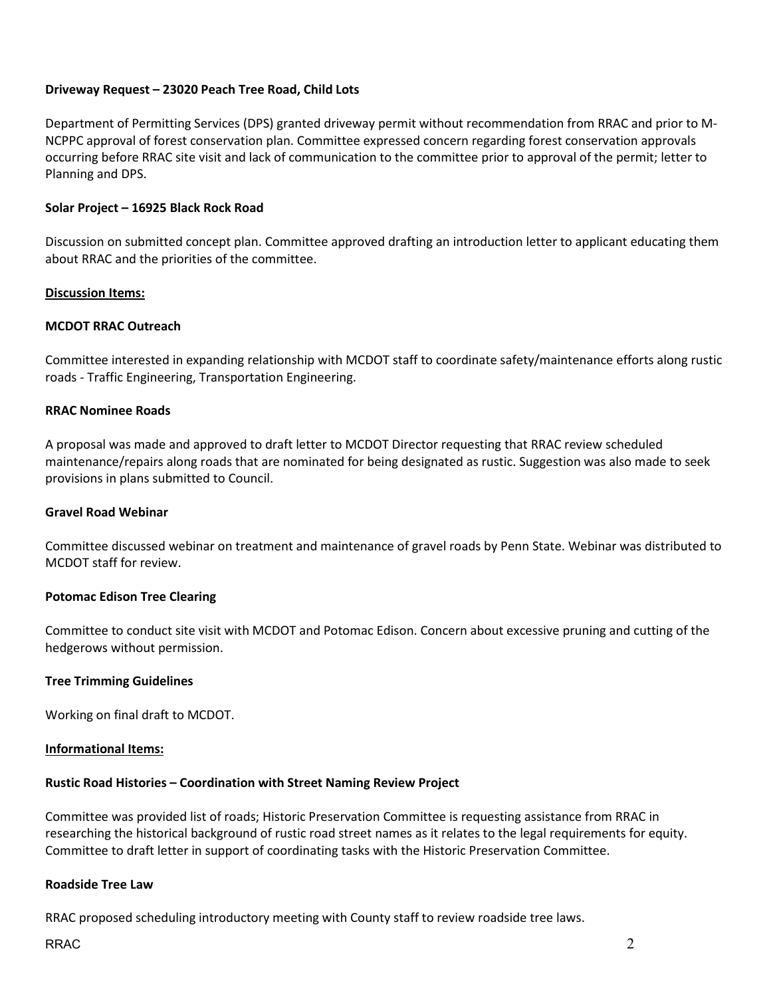# **Driveway Request – 23020 Peach Tree Road, Child Lots**

Department of Permitting Services (DPS) granted driveway permit without recommendation from RRAC and prior to M-NCPPC approval of forest conservation plan. Committee expressed concern regarding forest conservation approvals occurring before RRAC site visit and lack of communication to the committee prior to approval of the permit; letter to Planning and DPS.

# **Solar Project – 16925 Black Rock Road**

Discussion on submitted concept plan. Committee approved drafting an introduction letter to applicant educating them about RRAC and the priorities of the committee.

## **Discussion Items:**

# **MCDOT RRAC Outreach**

Committee interested in expanding relationship with MCDOT staff to coordinate safety/maintenance efforts along rustic roads - Traffic Engineering, Transportation Engineering.

## **RRAC Nominee Roads**

A proposal was made and approved to draft letter to MCDOT Director requesting that RRAC review scheduled maintenance/repairs along roads that are nominated for being designated as rustic. Suggestion was also made to seek provisions in plans submitted to Council.

### **Gravel Road Webinar**

Committee discussed webinar on treatment and maintenance of gravel roads by Penn State. Webinar was distributed to MCDOT staff for review.

# **Potomac Edison Tree Clearing**

Committee to conduct site visit with MCDOT and Potomac Edison. Concern about excessive pruning and cutting of the hedgerows without permission.

### **Tree Trimming Guidelines**

Working on final draft to MCDOT.

### **Informational Items:**

# **Rustic Road Histories – Coordination with Street Naming Review Project**

Committee was provided list of roads; Historic Preservation Committee is requesting assistance from RRAC in researching the historical background of rustic road street names as it relates to the legal requirements for equity. Committee to draft letter in support of coordinating tasks with the Historic Preservation Committee.

### **Roadside Tree Law**

RRAC proposed scheduling introductory meeting with County staff to review roadside tree laws.